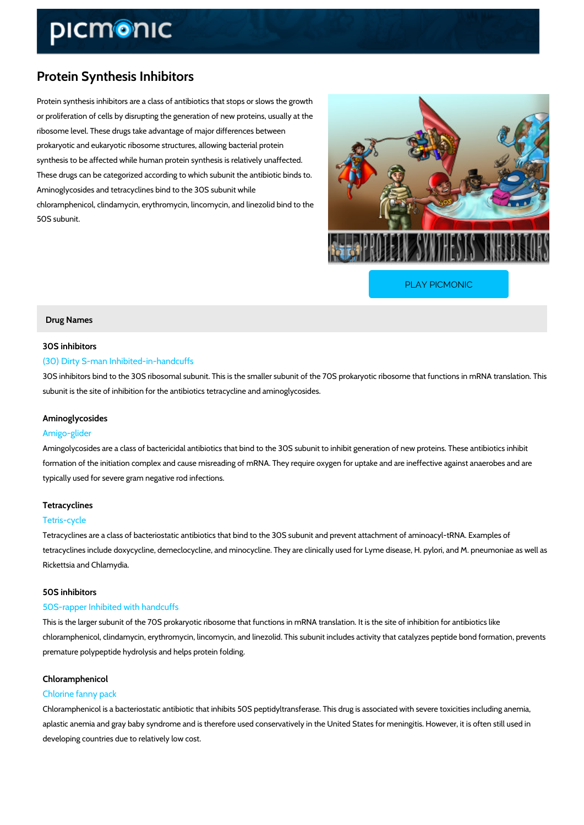# Protein Synthesis Inhibitors

Protein synthesis inhibitors are a class of antibiotics that stops or slows the growth or proliferation of cells by disrupting the generation of new proteins, usually at the ribosome level. These drugs take advantage of major differences between prokaryotic and eukaryotic ribosome structures, allowing bacterial protein synthesis to be affected while human protein synthesis is relatively unaffected. These drugs can be categorized according to which subunit the antibiotic binds to. Aminoglycosides and tetracyclines bind to the 30S subunit while chloramphenicol, clindamycin, erythromycin, lincomycin, and linezolid bind to the 50S subunit.

[PLAY PICMONIC](https://www.picmonic.com/learn/protein-synthesis-inhibitors_210?utm_source=downloadable_content&utm_medium=distributedcontent&utm_campaign=pathways_pdf&utm_content=Protein Synthesis Inhibitors&utm_ad_group=leads&utm_market=all)

## Drug Names

### 30S inhibitors

### (30) Dirty S-man Inhibited-in-handcuffs

30S inhibitors bind to the 30S ribosomal subunit. This is the smaller subunit of the 70S proka subunit is the site of inhibition for the antibiotics tetracycline and aminoglycosides.

### Aminoglycosides

### Amigo-glider

Amingolycosides are a class of bactericidal antibiotics that bind to the 30S subunit to inhibit formation of the initiation complex and cause misreading of mRNA. They require oxygen for up typically used for severe gram negative rod infections.

#### Tetracyclines

### Tetris-cycle

Tetracyclines are a class of bacteriostatic antibiotics that bind to the 30S subunit and preven tetracyclines include doxycycline, demeclocycline, and minocycline. They are clinically used f Rickettsia and Chlamydia.

### 50S inhibitors

### 50S-rapper Inhibited with handcuffs

This is the larger subunit of the 70S prokaryotic ribosome that functions in mRNA translation. chloramphenicol, clindamycin, erythromycin, lincomycin, and linezolid. This subunit includes a premature polypeptide hydrolysis and helps protein folding.

# Chloramphenicol

#### Chlorine fanny pack

Chloramphenicol is a bacteriostatic antibiotic that inhibits 50S peptidyltransferase. This drug aplastic anemia and gray baby syndrome and is therefore used conservatively in the United St developing countries due to relatively low cost.